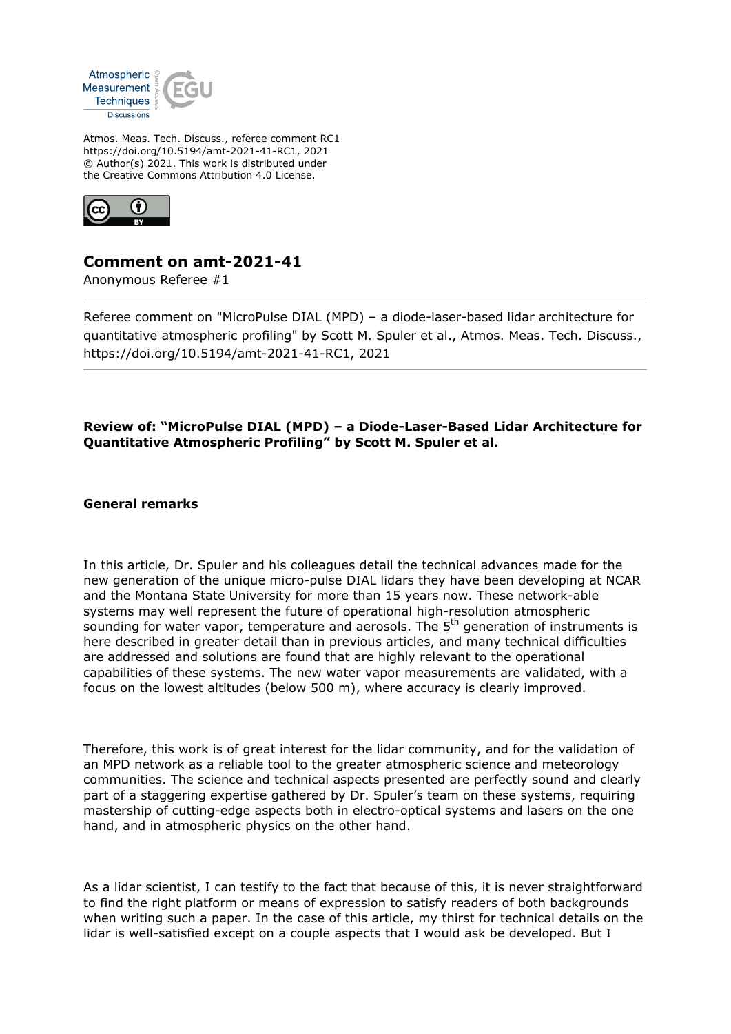

Atmos. Meas. Tech. Discuss., referee comment RC1 https://doi.org/10.5194/amt-2021-41-RC1, 2021 © Author(s) 2021. This work is distributed under the Creative Commons Attribution 4.0 License.



## **Comment on amt-2021-41**

Anonymous Referee #1

Referee comment on "MicroPulse DIAL (MPD) – a diode-laser-based lidar architecture for quantitative atmospheric profiling" by Scott M. Spuler et al., Atmos. Meas. Tech. Discuss., https://doi.org/10.5194/amt-2021-41-RC1, 2021

## **Review of: "MicroPulse DIAL (MPD) – a Diode-Laser-Based Lidar Architecture for Quantitative Atmospheric Profiling" by Scott M. Spuler et al.**

**General remarks**

In this article, Dr. Spuler and his colleagues detail the technical advances made for the new generation of the unique micro-pulse DIAL lidars they have been developing at NCAR and the Montana State University for more than 15 years now. These network-able systems may well represent the future of operational high-resolution atmospheric sounding for water vapor, temperature and aerosols. The 5<sup>th</sup> generation of instruments is here described in greater detail than in previous articles, and many technical difficulties are addressed and solutions are found that are highly relevant to the operational capabilities of these systems. The new water vapor measurements are validated, with a focus on the lowest altitudes (below 500 m), where accuracy is clearly improved.

Therefore, this work is of great interest for the lidar community, and for the validation of an MPD network as a reliable tool to the greater atmospheric science and meteorology communities. The science and technical aspects presented are perfectly sound and clearly part of a staggering expertise gathered by Dr. Spuler's team on these systems, requiring mastership of cutting-edge aspects both in electro-optical systems and lasers on the one hand, and in atmospheric physics on the other hand.

As a lidar scientist, I can testify to the fact that because of this, it is never straightforward to find the right platform or means of expression to satisfy readers of both backgrounds when writing such a paper. In the case of this article, my thirst for technical details on the lidar is well-satisfied except on a couple aspects that I would ask be developed. But I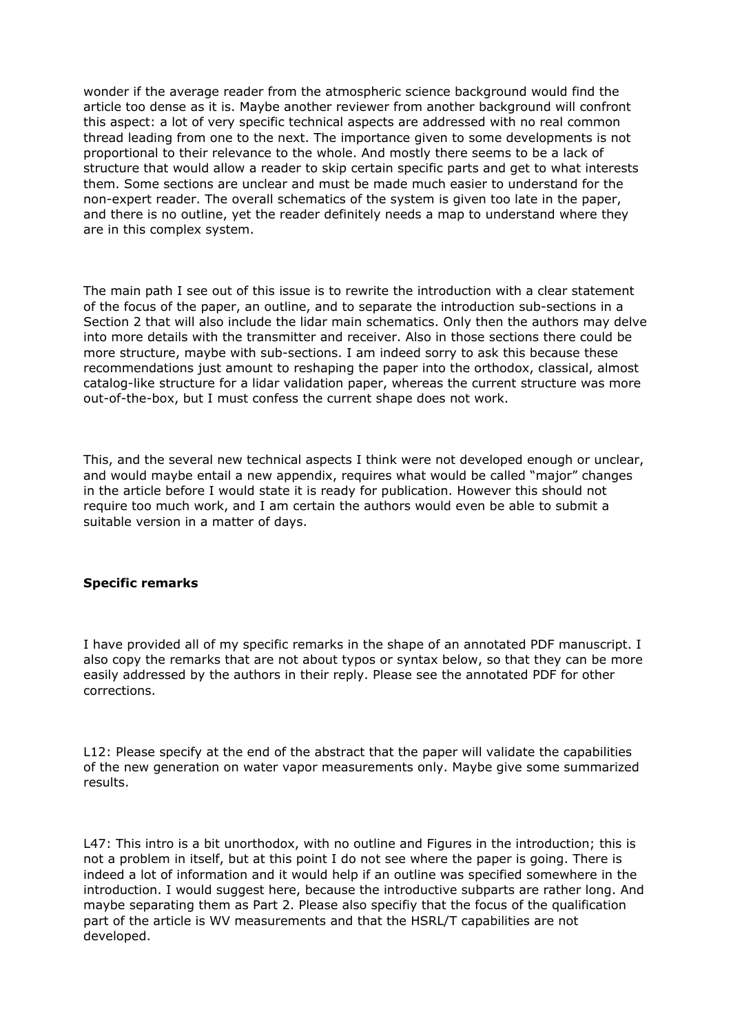wonder if the average reader from the atmospheric science background would find the article too dense as it is. Maybe another reviewer from another background will confront this aspect: a lot of very specific technical aspects are addressed with no real common thread leading from one to the next. The importance given to some developments is not proportional to their relevance to the whole. And mostly there seems to be a lack of structure that would allow a reader to skip certain specific parts and get to what interests them. Some sections are unclear and must be made much easier to understand for the non-expert reader. The overall schematics of the system is given too late in the paper, and there is no outline, yet the reader definitely needs a map to understand where they are in this complex system.

The main path I see out of this issue is to rewrite the introduction with a clear statement of the focus of the paper, an outline, and to separate the introduction sub-sections in a Section 2 that will also include the lidar main schematics. Only then the authors may delve into more details with the transmitter and receiver. Also in those sections there could be more structure, maybe with sub-sections. I am indeed sorry to ask this because these recommendations just amount to reshaping the paper into the orthodox, classical, almost catalog-like structure for a lidar validation paper, whereas the current structure was more out-of-the-box, but I must confess the current shape does not work.

This, and the several new technical aspects I think were not developed enough or unclear, and would maybe entail a new appendix, requires what would be called "major" changes in the article before I would state it is ready for publication. However this should not require too much work, and I am certain the authors would even be able to submit a suitable version in a matter of days.

## **Specific remarks**

I have provided all of my specific remarks in the shape of an annotated PDF manuscript. I also copy the remarks that are not about typos or syntax below, so that they can be more easily addressed by the authors in their reply. Please see the annotated PDF for other corrections.

L12: Please specify at the end of the abstract that the paper will validate the capabilities of the new generation on water vapor measurements only. Maybe give some summarized results.

L47: This intro is a bit unorthodox, with no outline and Figures in the introduction; this is not a problem in itself, but at this point I do not see where the paper is going. There is indeed a lot of information and it would help if an outline was specified somewhere in the introduction. I would suggest here, because the introductive subparts are rather long. And maybe separating them as Part 2. Please also specifiy that the focus of the qualification part of the article is WV measurements and that the HSRL/T capabilities are not developed.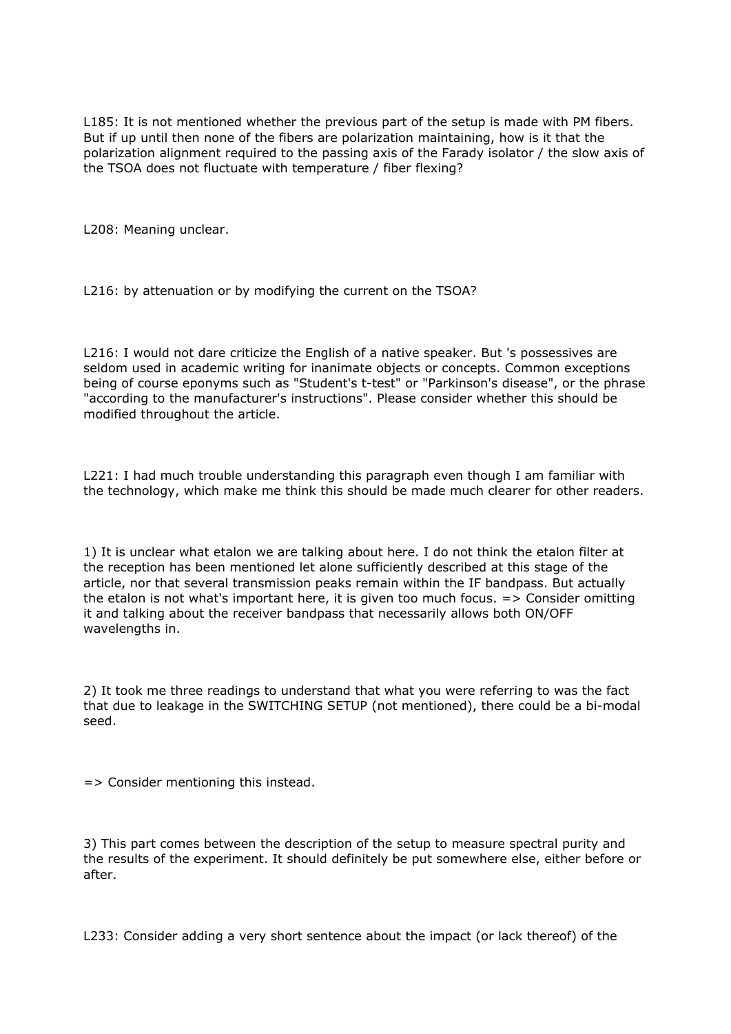L185: It is not mentioned whether the previous part of the setup is made with PM fibers. But if up until then none of the fibers are polarization maintaining, how is it that the polarization alignment required to the passing axis of the Farady isolator / the slow axis of the TSOA does not fluctuate with temperature / fiber flexing?

L208: Meaning unclear.

L216: by attenuation or by modifying the current on the TSOA?

L216: I would not dare criticize the English of a native speaker. But 's possessives are seldom used in academic writing for inanimate objects or concepts. Common exceptions being of course eponyms such as "Student's t-test" or "Parkinson's disease", or the phrase "according to the manufacturer's instructions". Please consider whether this should be modified throughout the article.

L221: I had much trouble understanding this paragraph even though I am familiar with the technology, which make me think this should be made much clearer for other readers.

1) It is unclear what etalon we are talking about here. I do not think the etalon filter at the reception has been mentioned let alone sufficiently described at this stage of the article, nor that several transmission peaks remain within the IF bandpass. But actually the etalon is not what's important here, it is given too much focus.  $\Rightarrow$  Consider omitting it and talking about the receiver bandpass that necessarily allows both ON/OFF wavelengths in.

2) It took me three readings to understand that what you were referring to was the fact that due to leakage in the SWITCHING SETUP (not mentioned), there could be a bi-modal seed.

=> Consider mentioning this instead.

3) This part comes between the description of the setup to measure spectral purity and the results of the experiment. It should definitely be put somewhere else, either before or after.

L233: Consider adding a very short sentence about the impact (or lack thereof) of the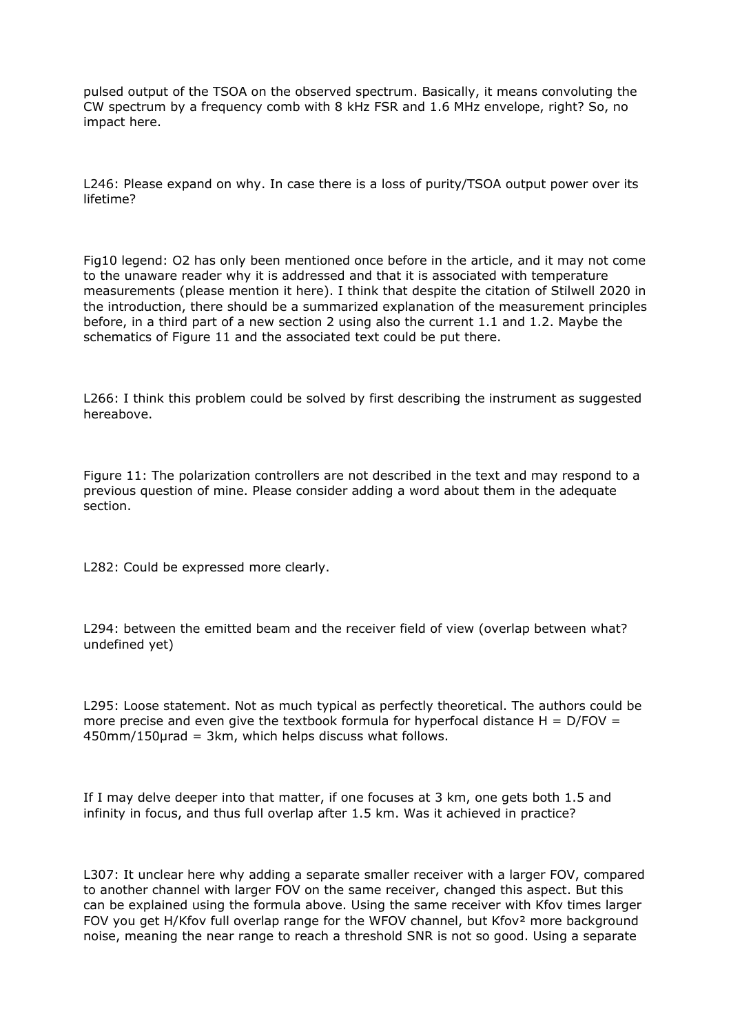pulsed output of the TSOA on the observed spectrum. Basically, it means convoluting the CW spectrum by a frequency comb with 8 kHz FSR and 1.6 MHz envelope, right? So, no impact here.

L246: Please expand on why. In case there is a loss of purity/TSOA output power over its lifetime?

Fig10 legend: O2 has only been mentioned once before in the article, and it may not come to the unaware reader why it is addressed and that it is associated with temperature measurements (please mention it here). I think that despite the citation of Stilwell 2020 in the introduction, there should be a summarized explanation of the measurement principles before, in a third part of a new section 2 using also the current 1.1 and 1.2. Maybe the schematics of Figure 11 and the associated text could be put there.

L266: I think this problem could be solved by first describing the instrument as suggested hereabove.

Figure 11: The polarization controllers are not described in the text and may respond to a previous question of mine. Please consider adding a word about them in the adequate section.

L282: Could be expressed more clearly.

L294: between the emitted beam and the receiver field of view (overlap between what? undefined yet)

L295: Loose statement. Not as much typical as perfectly theoretical. The authors could be more precise and even give the textbook formula for hyperfocal distance  $H = D/FOV =$ 450mm/150µrad = 3km, which helps discuss what follows.

If I may delve deeper into that matter, if one focuses at 3 km, one gets both 1.5 and infinity in focus, and thus full overlap after 1.5 km. Was it achieved in practice?

L307: It unclear here why adding a separate smaller receiver with a larger FOV, compared to another channel with larger FOV on the same receiver, changed this aspect. But this can be explained using the formula above. Using the same receiver with Kfov times larger FOV you get H/Kfov full overlap range for the WFOV channel, but Kfov<sup>2</sup> more background noise, meaning the near range to reach a threshold SNR is not so good. Using a separate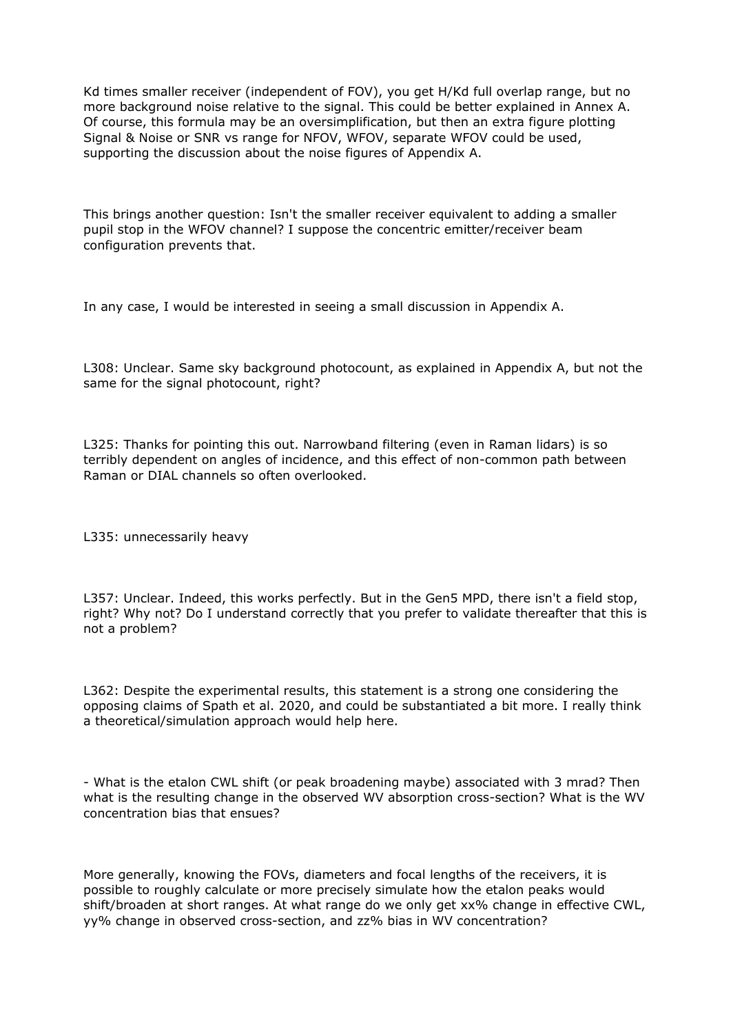Kd times smaller receiver (independent of FOV), you get H/Kd full overlap range, but no more background noise relative to the signal. This could be better explained in Annex A. Of course, this formula may be an oversimplification, but then an extra figure plotting Signal & Noise or SNR vs range for NFOV, WFOV, separate WFOV could be used, supporting the discussion about the noise figures of Appendix A.

This brings another question: Isn't the smaller receiver equivalent to adding a smaller pupil stop in the WFOV channel? I suppose the concentric emitter/receiver beam configuration prevents that.

In any case, I would be interested in seeing a small discussion in Appendix A.

L308: Unclear. Same sky background photocount, as explained in Appendix A, but not the same for the signal photocount, right?

L325: Thanks for pointing this out. Narrowband filtering (even in Raman lidars) is so terribly dependent on angles of incidence, and this effect of non-common path between Raman or DIAL channels so often overlooked.

L335: unnecessarily heavy

L357: Unclear. Indeed, this works perfectly. But in the Gen5 MPD, there isn't a field stop, right? Why not? Do I understand correctly that you prefer to validate thereafter that this is not a problem?

L362: Despite the experimental results, this statement is a strong one considering the opposing claims of Spath et al. 2020, and could be substantiated a bit more. I really think a theoretical/simulation approach would help here.

- What is the etalon CWL shift (or peak broadening maybe) associated with 3 mrad? Then what is the resulting change in the observed WV absorption cross-section? What is the WV concentration bias that ensues?

More generally, knowing the FOVs, diameters and focal lengths of the receivers, it is possible to roughly calculate or more precisely simulate how the etalon peaks would shift/broaden at short ranges. At what range do we only get xx% change in effective CWL, yy% change in observed cross-section, and zz% bias in WV concentration?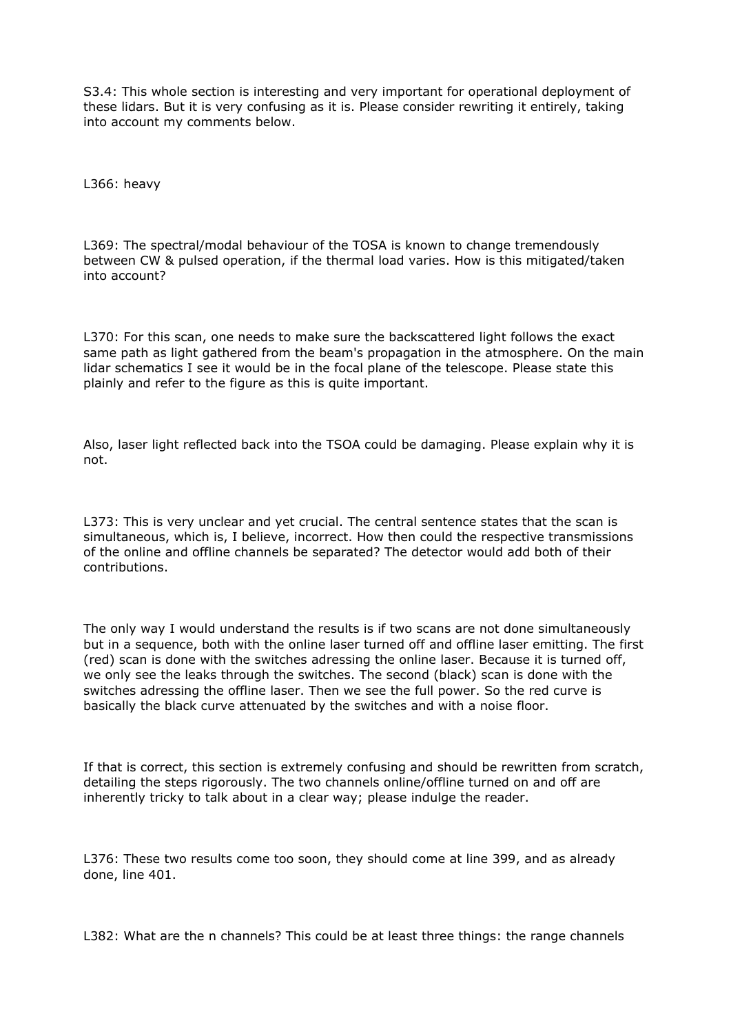S3.4: This whole section is interesting and very important for operational deployment of these lidars. But it is very confusing as it is. Please consider rewriting it entirely, taking into account my comments below.

L366: heavy

L369: The spectral/modal behaviour of the TOSA is known to change tremendously between CW & pulsed operation, if the thermal load varies. How is this mitigated/taken into account?

L370: For this scan, one needs to make sure the backscattered light follows the exact same path as light gathered from the beam's propagation in the atmosphere. On the main lidar schematics I see it would be in the focal plane of the telescope. Please state this plainly and refer to the figure as this is quite important.

Also, laser light reflected back into the TSOA could be damaging. Please explain why it is not.

L373: This is very unclear and yet crucial. The central sentence states that the scan is simultaneous, which is, I believe, incorrect. How then could the respective transmissions of the online and offline channels be separated? The detector would add both of their contributions.

The only way I would understand the results is if two scans are not done simultaneously but in a sequence, both with the online laser turned off and offline laser emitting. The first (red) scan is done with the switches adressing the online laser. Because it is turned off, we only see the leaks through the switches. The second (black) scan is done with the switches adressing the offline laser. Then we see the full power. So the red curve is basically the black curve attenuated by the switches and with a noise floor.

If that is correct, this section is extremely confusing and should be rewritten from scratch, detailing the steps rigorously. The two channels online/offline turned on and off are inherently tricky to talk about in a clear way; please indulge the reader.

L376: These two results come too soon, they should come at line 399, and as already done, line 401.

L382: What are the n channels? This could be at least three things: the range channels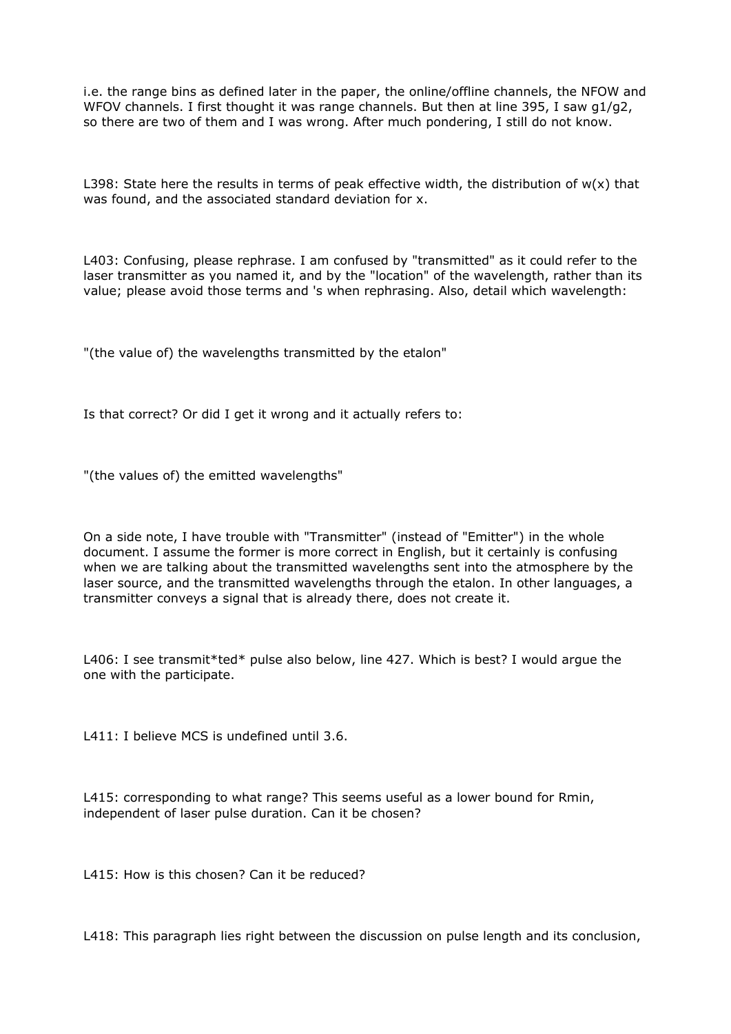i.e. the range bins as defined later in the paper, the online/offline channels, the NFOW and WFOV channels. I first thought it was range channels. But then at line 395, I saw g1/g2, so there are two of them and I was wrong. After much pondering, I still do not know.

L398: State here the results in terms of peak effective width, the distribution of  $w(x)$  that was found, and the associated standard deviation for x.

L403: Confusing, please rephrase. I am confused by "transmitted" as it could refer to the laser transmitter as you named it, and by the "location" of the wavelength, rather than its value; please avoid those terms and 's when rephrasing. Also, detail which wavelength:

"(the value of) the wavelengths transmitted by the etalon"

Is that correct? Or did I get it wrong and it actually refers to:

"(the values of) the emitted wavelengths"

On a side note, I have trouble with "Transmitter" (instead of "Emitter") in the whole document. I assume the former is more correct in English, but it certainly is confusing when we are talking about the transmitted wavelengths sent into the atmosphere by the laser source, and the transmitted wavelengths through the etalon. In other languages, a transmitter conveys a signal that is already there, does not create it.

L406: I see transmit\*ted\* pulse also below, line 427. Which is best? I would argue the one with the participate.

L411: I believe MCS is undefined until 3.6.

L415: corresponding to what range? This seems useful as a lower bound for Rmin, independent of laser pulse duration. Can it be chosen?

L415: How is this chosen? Can it be reduced?

L418: This paragraph lies right between the discussion on pulse length and its conclusion,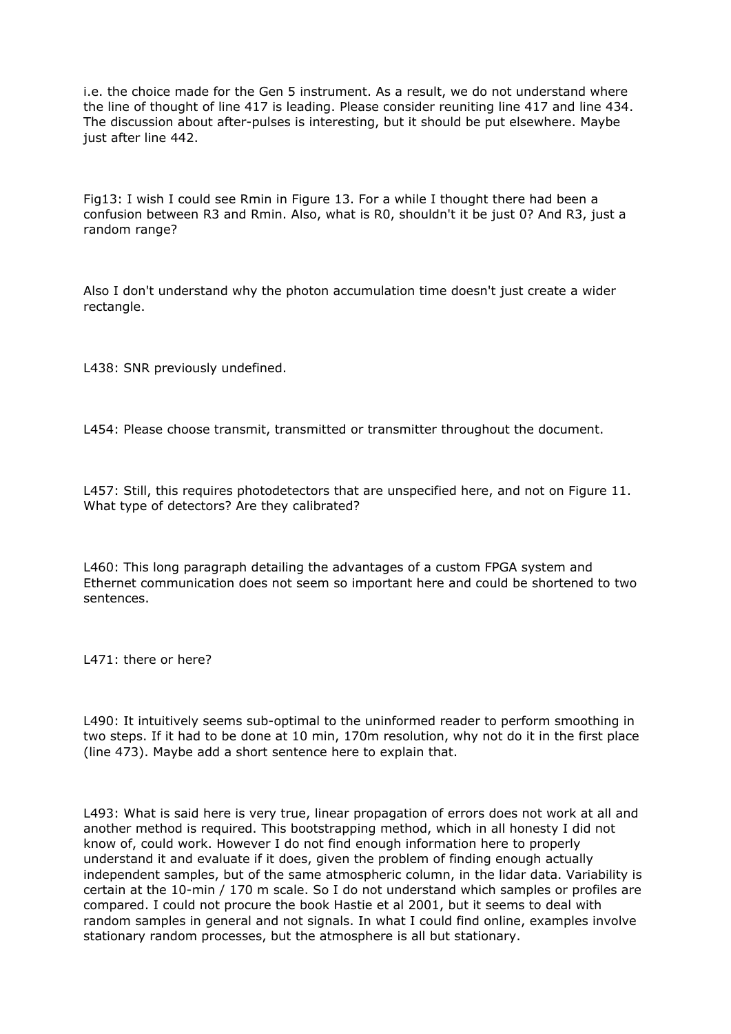i.e. the choice made for the Gen 5 instrument. As a result, we do not understand where the line of thought of line 417 is leading. Please consider reuniting line 417 and line 434. The discussion about after-pulses is interesting, but it should be put elsewhere. Maybe just after line 442.

Fig13: I wish I could see Rmin in Figure 13. For a while I thought there had been a confusion between R3 and Rmin. Also, what is R0, shouldn't it be just 0? And R3, just a random range?

Also I don't understand why the photon accumulation time doesn't just create a wider rectangle.

L438: SNR previously undefined.

L454: Please choose transmit, transmitted or transmitter throughout the document.

L457: Still, this requires photodetectors that are unspecified here, and not on Figure 11. What type of detectors? Are they calibrated?

L460: This long paragraph detailing the advantages of a custom FPGA system and Ethernet communication does not seem so important here and could be shortened to two sentences.

L471: there or here?

L490: It intuitively seems sub-optimal to the uninformed reader to perform smoothing in two steps. If it had to be done at 10 min, 170m resolution, why not do it in the first place (line 473). Maybe add a short sentence here to explain that.

L493: What is said here is very true, linear propagation of errors does not work at all and another method is required. This bootstrapping method, which in all honesty I did not know of, could work. However I do not find enough information here to properly understand it and evaluate if it does, given the problem of finding enough actually independent samples, but of the same atmospheric column, in the lidar data. Variability is certain at the 10-min / 170 m scale. So I do not understand which samples or profiles are compared. I could not procure the book Hastie et al 2001, but it seems to deal with random samples in general and not signals. In what I could find online, examples involve stationary random processes, but the atmosphere is all but stationary.